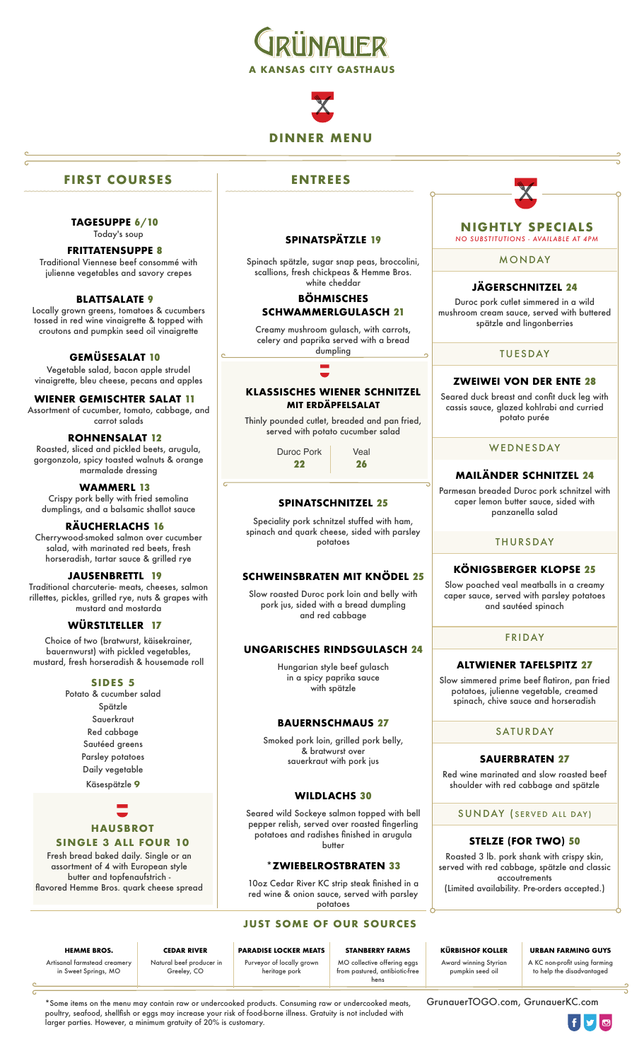



# **FIRST COURSES**

**TAGESUPPE 6/10** Today's soup

# **FRITTATENSUPPE 8**

Traditional Viennese beef consommé with julienne vegetables and savory crepes

#### **BLATTSALATE 9**

Locally grown greens, tomatoes & cucumbers tossed in red wine vinaigrette & topped with croutons and pumpkin seed oil vinaigrette

#### **GEMÜSESALAT 10**

Vegetable salad, bacon apple strudel vinaigrette, bleu cheese, pecans and apples

#### **WIENER GEMISCHTER SALAT 11** Assortment of cucumber, tomato, cabbage, and

carrot salads

# **ROHNENSALAT 12**

Roasted, sliced and pickled beets, arugula, gorgonzola, spicy toasted walnuts & orange marmalade dressing

#### **WAMMERL 13**

Crispy pork belly with fried semolina dumplings, and a balsamic shallot sauce

#### **RÄUCHERLACHS 16**

Cherrywood-smoked salmon over cucumber salad, with marinated red beets, fresh horseradish, tartar sauce & grilled rye

#### **JAUSENBRETTL 19**

Traditional charcuterie- meats, cheeses, salmon rillettes, pickles, grilled rye, nuts & grapes with mustard and mostarda

#### **WÜRSTLTELLER 17**

Choice of two (bratwurst, käisekrainer, bauernwurst) with pickled vegetables, mustard, fresh horseradish & housemade roll

#### **SIDES 5**

Potato & cucumber salad Spätzle Sauerkraut Red cabbage Sautéed greens Parsley potatoes Daily vegetable

Käsespätzle **9**

# **HAUSBROT SINGLE 3 ALL FOUR 10**

Fresh bread baked daily. Single or an assortment of 4 with European style butter and topfenaufstrich flavored Hemme Bros. quark cheese spread

### **ENTREES**

#### **SPINATSPÄTZLE 19**

Spinach spätzle, sugar snap peas, broccolini, scallions, fresh chickpeas & Hemme Bros. white cheddar

#### **BÖHMISCHES SCHWAMMERLGULASCH 21**

Creamy mushroom gulasch, with carrots, celery and paprika served with a bread dumpling

#### **KLASSISCHES WIENER SCHNITZEL MIT ERDÄPFELSALAT**

Thinly pounded cutlet, breaded and pan fried, served with potato cucumber salad

> Duroc Pork Veal **22 26**

#### **SPINATSCHNITZEL 25**

Speciality pork schnitzel stuffed with ham, spinach and quark cheese, sided with parsley potatoes

#### **SCHWEINSBRATEN MIT KNÖDEL 25**

Slow roasted Duroc pork loin and belly with pork jus, sided with a bread dumpling and red cabbage

#### **UNGARISCHES RINDSGULASCH 24**

Hungarian style beef gulasch in a spicy paprika sauce with spätzle

#### **BAUERNSCHMAUS 27**

Smoked pork loin, grilled pork belly, & bratwurst over sauerkraut with pork jus

#### **WILDLACHS 30**

Seared wild Sockeye salmon topped with bell pepper relish, served over roasted fingerling potatoes and radishes finished in arugula butter

#### **\*ZWIEBELROSTBRATEN 33**

10oz Cedar River KC strip steak finished in a red wine & onion sauce, served with parsley potatoes

#### **JUST SOME OF OUR SOURCES**

Award winning Styrian pumpkin seed oil

# **HEMME BROS. CEDAR RIVER PARADISE LOCKER MEATS STANBERRY FARMS KÜRBISHOF KOLLER URBAN FARMING GUYS**

A KC non-profit using farming to help the disadvantaged

Artisanal farmstead creamery in Sweet Springs, MO

 Natural beef producer in Greeley, CO

Purveyor of locally grown heritage pork

MO collective offering eggs from pastured, antibiotic-free hens

\*Some items on the menu may contain raw or undercooked products. Consuming raw or undercooked meats, poultry, seafood, shellfish or eggs may increase your risk of food-borne illness. Gratuity is not included with larger parties. However, a minimum gratuity of 20% is customary.

[GrunauerTOGO.com](http://GrunauerTOGO.com), GrunauerKC.com



#### **NIGHTLY SPECIALS** *NO SUBSTITUTIONS - AVAILABLE AT 4PM*

MONDAY

#### **JÄGERSCHNITZEL 24**

Duroc pork cutlet simmered in a wild mushroom cream sauce, served with buttered spätzle and lingonberries

#### TUESDAY

#### **ZWEIWEI VON DER ENTE 28**

Seared duck breast and confit duck leg with cassis sauce, glazed kohlrabi and curried potato purée

#### WEDNESDAY

#### **MAILÄNDER SCHNITZEL 24**

Parmesan breaded Duroc pork schnitzel with caper lemon butter sauce, sided with panzanella salad

#### **THURSDAY**

#### **KÖNIGSBERGER KLOPSE 25**

Slow poached veal meatballs in a creamy caper sauce, served with parsley potatoes and sautéed spinach

#### FRIDAY

#### **ALTWIENER TAFELSPITZ 27**

Slow simmered prime beef flatiron, pan fried potatoes, julienne vegetable, creamed spinach, chive sauce and horseradish

### SATURDAY

#### **SAUERBRATEN 27**

Red wine marinated and slow roasted beef shoulder with red cabbage and spätzle

SUNDAY ( SERVED ALL DAY)

#### **STELZE (FOR TWO) 50**

Roasted 3 lb. pork shank with crispy skin, served with red cabbage, spätzle and classic accoutrements (Limited availability. Pre-orders accepted.)